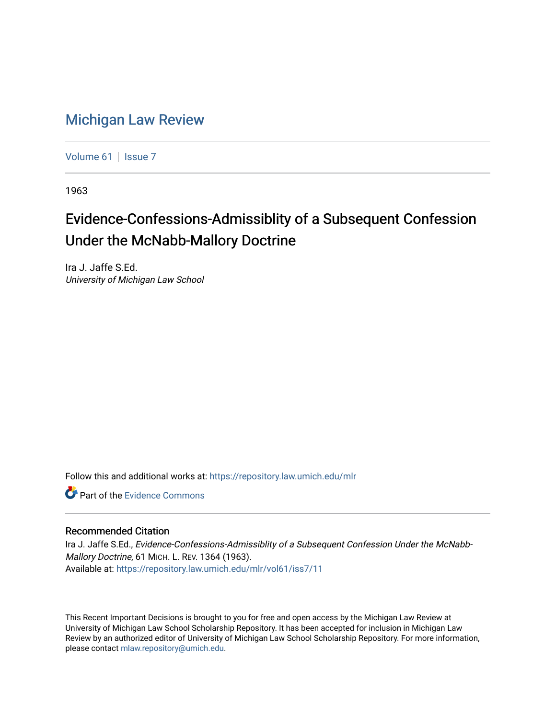## [Michigan Law Review](https://repository.law.umich.edu/mlr)

[Volume 61](https://repository.law.umich.edu/mlr/vol61) | [Issue 7](https://repository.law.umich.edu/mlr/vol61/iss7)

1963

## Evidence-Confessions-Admissiblity of a Subsequent Confession Under the McNabb-Mallory Doctrine

Ira J. Jaffe S.Ed. University of Michigan Law School

Follow this and additional works at: [https://repository.law.umich.edu/mlr](https://repository.law.umich.edu/mlr?utm_source=repository.law.umich.edu%2Fmlr%2Fvol61%2Fiss7%2F11&utm_medium=PDF&utm_campaign=PDFCoverPages) 

**C** Part of the Evidence Commons

## Recommended Citation

Ira J. Jaffe S.Ed., Evidence-Confessions-Admissiblity of a Subsequent Confession Under the McNabb-Mallory Doctrine, 61 MICH. L. REV. 1364 (1963). Available at: [https://repository.law.umich.edu/mlr/vol61/iss7/11](https://repository.law.umich.edu/mlr/vol61/iss7/11?utm_source=repository.law.umich.edu%2Fmlr%2Fvol61%2Fiss7%2F11&utm_medium=PDF&utm_campaign=PDFCoverPages) 

This Recent Important Decisions is brought to you for free and open access by the Michigan Law Review at University of Michigan Law School Scholarship Repository. It has been accepted for inclusion in Michigan Law Review by an authorized editor of University of Michigan Law School Scholarship Repository. For more information, please contact [mlaw.repository@umich.edu.](mailto:mlaw.repository@umich.edu)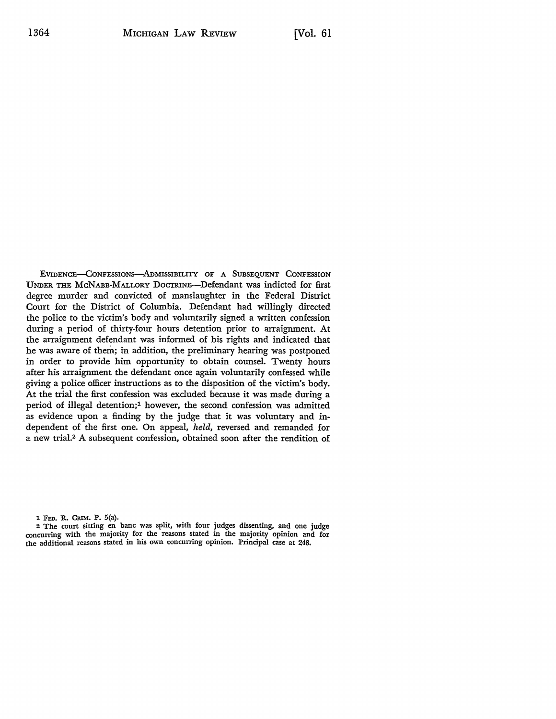EVIDENCE-CONFESSIONS-ADMISSIBILITY OF A SUBSEQUENT CONFESSION UNDER. THE McNABB-MALLORY DoCTRINE--Defendant was indicted for first degree murder and convicted of manslaughter in the Federal District Court for the District of Columbia. Defendant had willingly directed the police to the victim's body and voluntarily signed a written confession during a period of thirty-four hours detention prior to arraignment. At the arraignment defendant was informed of his rights and indicated that he was aware of them; in addition, the preliminary hearing was postponed in order to provide him opportunity to obtain counsel. Twenty hours after his arraignment the defendant once again voluntarily confessed while giving a police officer instructions as to the disposition of the victim's body. At the trial the first confession was excluded because it was made during a period of illegal detention;<sup>1</sup> however, the second confession was admitted as evidence upon a finding by the judge that it was voluntary and independent of the first one. On appeal, held, reversed and remanded for a new trial.2 A subsequent confession, obtained soon after the rendition of

1 FED. R. CRIM. P. 5(a).

2 The court sitting en bane was split, with four judges dissenting, and one judge concurring with the majority for the reasons stated in the majority opinion and for the additional reasons stated in his own concurring opinion. Principal case at 248.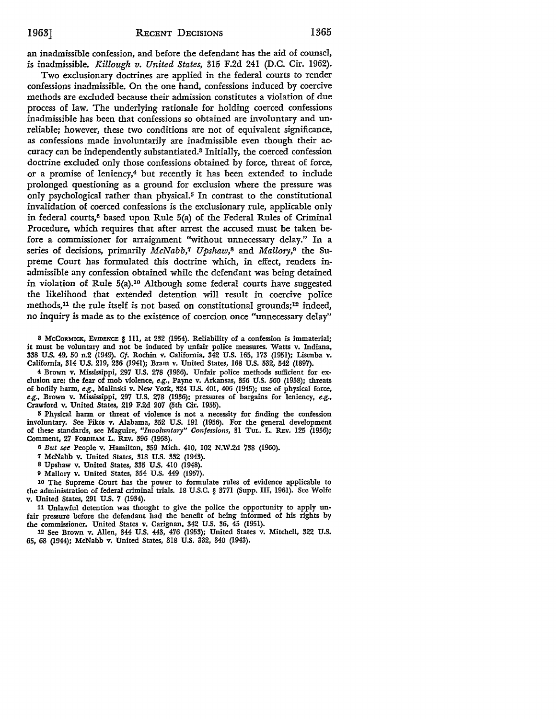an inadmissible confession, and before the defendant has the aid of counsel, is inadmissible. *Killough v. United States,* 315 F.2d 241 (D.C. Cir. 1962).

Two exclusionary doctrines are applied in the federal courts to render confessions inadmissible. On the one hand, confessions induced by coercive methods are excluded because their admission constitutes a violation of due process of law. The underlying rationale for holding coerced confessions inadmissible has been that confessions so obtained are involuntary and unreliable; however, these two conditions are not of equivalent significance, as confessions made involuntarily are inadmissible even though their accuracy can be independently substantiated.3 Initially, the coerced confession doctrine excluded only those confessions obtained by force, threat of force, or a promise of leniency,4 but recently it has been extended to include prolonged questioning as a ground for exclusion where the pressure was only psychological rather than physical.5 In contrast to the constitutional invalidation of coerced confessions is the exclusionary rule, applicable only in federal courts,<sup>6</sup> based upon Rule  $5(a)$  of the Federal Rules of Criminal Procedure, which requires that after arrest the accused must be taken before a commissioner for arraignment "without unnecessary delay." In a series of decisions, primarily *McNabb*,<sup>7</sup> Upshaw,<sup>8</sup> and *Mallory*,<sup>9</sup> the Supreme Court has formulated this doctrine which, in effect, renders inadmissible any confession obtained while the defendant was being detained in violation of Rule 5(a).10 Although some federal courts have suggested the likelihood that extended detention will result in coercive police methods,<sup>11</sup> the rule itself is not based on constitutional grounds;<sup>12</sup> indeed, no inquiry is made as to the existence of coercion once "unnecessary delay"

<sup>8</sup>McCORMICK, EVIDENCE § 111, at 232 (1954). Reliability of a confession is immaterial; it must be voluntary and not be induced by unfair police measures. Watts v. Indiana, 338 U.S. 49, 50 n.2 (1949). *Cf.* Rochin v. California, 342 U.S. 165, 173 (1951); Lisenba v. California, 314 U.S. 219, 236 (1941); Bram v. United States, 168 U.S. 532, 542 (1897).

4 Brown v. Mississippi, 297 U.S. 278 (1936). Unfair police methods sufficient for exclusion are: the fear of mob violence, *e.g.,* Payne v. Arkansas, 356 U.S. 560 (1958); threats of bodily harm, *e.g.,* Malinski v. New York, 324 U.S. 401, 406 (1945); use of physical force, *e.g.,* Brown v. Mississippi, 297 U.S. 278 (1936); pressures of bargains for leniency, *e.g.,*  Crawford v. United States, 219 F.2d 207 (5th Cir. 1955).

IS Physical harm or threat of violence is not a necessity for finding the confession involuntary. See Fikes v. Alabama, 352 U.S. 191 (1956). For the general development of these standards, see Maguire, *"Involuntary" Confessions,* 31 TuL. L. REv. 125 (1956); Comment, 27 FORDHAM L. REv. 396 (1958).

<sup>6</sup>*But see* People v. Hamilton, 359 Mich. 410, 102 N.W.2d 738 (1960).

7 McNabb v. United States, 318 U.S. 332 (1943).

s Upshaw v. United States, 335 U.S. 410 (1948).

9 Mallory v. United States, 354 U.S. 449 (1957).

10 The Supreme Court has the power to formulate rules of evidence applicable to the administration of federal criminal trials. 18 U.S.C. § 3771 (Supp. III, 1961). See Wolfe v. United States, 291 U.S. 7 (1934).

11 Unlawful detention was thought to give the police the opportunity to apply unfair pressure before the defendant had the benefit of being informed of his rights by the commissioner. United States v. Carignan, 342 U.S. 36, 45 (1951).

12 See Brown v. Allen, 344 U.S. 443, 476 (1953); United States v. Mitchell, 322 U.S. 65, 68 (1944); McNabb v. United States, 318 U.S. 332, 340 (1943).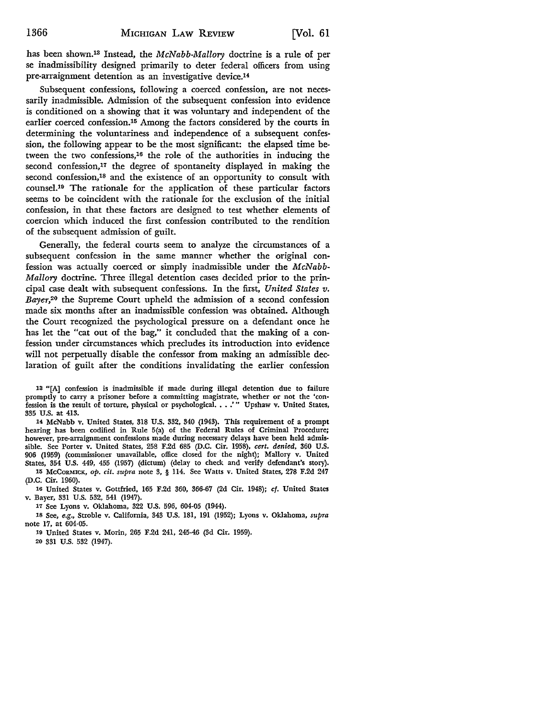has been shown.13 Instead, the *McNabb-Mallory* doctrine is a rule of per se inadmissibility designed primarily to deter federal officers from using pre-arraignment detention as an investigative device.14

Subsequent confessions, following a coerced confession, are not necessarily inadmissible. Admission of the subsequent confession into evidence is conditioned on a showing that it was voluntary and independent of the earlier coerced confession.15 Among the factors considered by the courts in determining the voluntariness and independence of a subsequent confession, the following appear to be the most significant: the elapsed time between the two confessions,16 the role of the authorities in inducing the second confession,<sup>17</sup> the degree of spontaneity displayed in making the second confession,<sup>18</sup> and the existence of an opportunity to consult with counsel.19 The rationale for the application of these particular factors seems to be coincident with the rationale for the exclusion of the initial confession, in that these factors are designed to test whether elements of coercion which induced the first confession contributed to the rendition of the subsequent admission of guilt.

Generally, the federal courts seem to analyze the circumstances of a subsequent confession in the same manner whether the original confession was actually coerced or simply inadmissible under the *McNabb-Mallory* doctrine. Three illegal detention cases decided prior to the principal case dealt with subsequent confessions. In the first, *United States v. Bayer,20* the Supreme Court upheld the admission of a second confession made six months after an inadmissible confession was obtained. Although the Court recognized the psychological pressure on a defendant once he has let the "cat out of the bag," it concluded that the making of a confession under circumstances which precludes its introduction into evidence will not perpetually disable the confessor from making an admissible declaration of guilt after the conditions invalidating the earlier confession

13 "[A] confession is inadmissible if made during illegal detention due to failure promptly to carry a prisoner before a committing magistrate, whether or not the 'con-fession is the result of torture, physical or psychological .•. .' " Upshaw v. United States, 335 U.S. at 413.

14 McNabb v. United States, 318 U.S. 332, 340 (1943). This requirement of a prompt hearing has been codified in Rule 5(a) of the Federal Rules of Criminal Procedure; however, pre-arraignment confessions made during necessary delays have been held admissible. See Porter v. United States, 258 F.2d 685 (D.C. Cir. 1958), *cert. denied,* 360 U.S. 906 (1959) (commissioner unavailable, office closed for the night); Mallory v. United States, 354 U.S. 449, 455 (1957) (dictum) (delay to check and verify defendant's story).

15 McCORMICK, *op. cit. supra* note 3, § 114. See Watts v. United States, 278 F.2d 247 (D.C. Cir. 1960).

16 United States v. Gottfried, 165 F.2d 360, 366-67 (2d Cir. 1948); cf. United States v. Bayer, 331 U.S. 532, 541 (1947).

17 See Lyons v. Oklahoma, 322 U.S. 596, 604-05 (1944).

18 See, *e.g.,* Stroble v. California, 343 U.S. 181, 191 (1952); Lyons v. Oklahoma, *supra*  note 17, at 604-05.

19 United States v. Morin, 265 F.2d 241, 245-46 (3d Cir. 1959).

20 331 U.S. 532 (1947).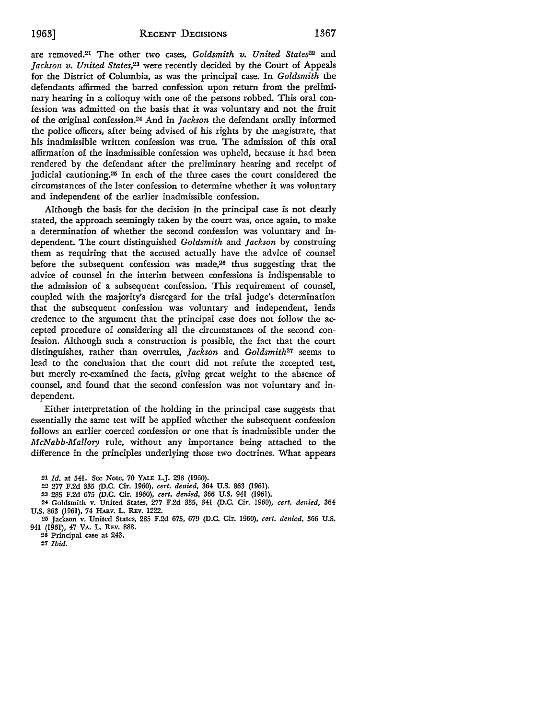are removed.21 The other two cases, *Goldsmith v. United States22* and *Jackson v. United States,23* were recently decided by the Court of Appeals for the District of Columbia, as was the principal case. In *Goldsmith* the defendants affirmed the barred confession upon return from the preliminary hearing in a colloquy with one of the persons robbed. This oral confession was admitted on the basis that it was voluntary and not the fruit of the original confession.24 And in *Jackson* the defendant orally informed the police officers, after being advised of his rights by the magistrate, that his inadmissible written confession was true. The admission of this oral affirmation of the inadmissible confession was upheld, because it had been rendered by the defendant after the preliminary hearing and receipt of judicial cautioning.25 In each of the three cases the court considered the circumstances of the later confession to determine whether it was voluntary and independent of the earlier inadmissible confession.

Although the basis for the decision in the principal case is not clearly stated, the approach seemingly taken by the court was, once again, to make a determination of whether the second confession was voluntary and independent. The court distinguished *Goldsmith* and *Jackson* by construing them as requiring that the accused actually have the advice of counsel before the subsequent confession was made,26 thus suggesting that the advice of counsel in the interim between confessions is indispensable to the admission of a subsequent confession. This requirement of counsel, coupled with the majority's disregard for the trial judge's determination that the subsequent confession was voluntary and independent, lends credence to the argument that the principal case does not follow the accepted procedure of considering all the circumstances of the second confession. Although such a construction is possible, the fact that the court distinguishes, rather than overrules, *Jackson* and *Goldsmith21* seems to lead to the conclusion that the court did not refute the accepted test, but merely re-examined the facts, giving great weight to the absence of counsel, and found that the second confession was not voluntary and independent.

Either interpretation of the holding in the principal case suggests that essentially the same test will be applied whether the subsequent confession follows an earlier coerced confession or one that is inadmissible under the *McNabb-Mallory* rule, without any importance being attached to the difference in the principles underlying those two doctrines. What appears

21 *Id.* at 541. See Note, 70 YALE L.J. 298 (1960).

22 277 F.2d 335 (D.C. Cir. 1960), *cert. denied,* 364 U.S. 863 (1961).

23 285 F.2d 675 (D.C. Cir. 1960), *cert. denied,* 366 U.S. 941 (1961).

24 Goldsmith v. United States, 277 F.2d 335, 341 (D.C. Cir. 1960), *cert. denied,* 364 U.S. 863 (1961), 74 HARV. L. REV. 1222.

25 Jackson v. United States, 285 F.2d 675, 679 (D.C. Cir. 1960), *cert. denied,* 366 U.S. 941 (1961), 47 VA. L. REv. 888.

26 Principal case at 243.

*21 Ibid.*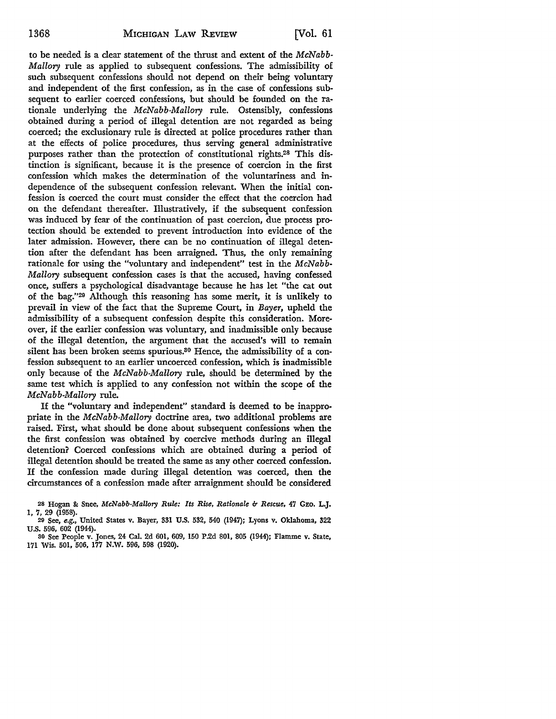to be needed is a clear statement of the thrust and extent of the *McNabb-Mallory* rule as applied to subsequent confessions. The admissibility of such subsequent confessions should not depend on their being voluntary and independent of the first confession, as in the case of confessions subsequent to earlier coerced confessions, but should be founded on the rationale underlying the *McNabb-Mallory* rule. Ostensibly, confessions obtained during a period of illegal detention are not regarded as being coerced; the exclusionary rule is directed at police procedures rather than at the effects of police procedures, thus serving general administrative purposes rather than the protection of constitutional rights.28 This **dis**tinction is significant, because it is the presence of coercion in the first confession which makes the determination of the voluntariness and independence of the subsequent confession relevant. When the initial confession is coerced the court must consider the effect that the coercion had on the defendant thereafter. Illustratively, if the subsequent confession was induced by fear of the continuation of past coercion, due process protection should be extended to prevent introduction into evidence of the later admission. However, there can be no continuation of illegal detention after the defendant has been arraigned. Thus, the only remaining rationale for using the "voluntary and independent" test in the *McNabb-Mallory* subsequent confession cases is that the accused, having confessed once, suffers a psychological disadvantage because he has let "the cat out of the bag."29 Although this reasoning has some merit, it is unlikely to prevail in view of the fact that the Supreme Court, in *Bayer,* upheld the admissibility of a subsequent confession despite this consideration. Moreover, if the earlier confession was voluntary, and inadmissible only because of the illegal detention, the argument that the accused's will to remain silent has been broken seems spurious.30 Hence, the admissibility of a confession subsequent to an earlier uncoerced confession, which is inadmissible only because of the *McNabb-Mallory* rule, should be determined by the same test which is applied to any confession not within the scope of the *McNabb-Mallory* rule.

If the "voluntary and independent" standard is deemed to be inappropriate in the *McNabb-Mallory* doctrine area, two additional problems are raised. First, what should be done about subsequent confessions when the the first confession was obtained by coercive methods during an illegal detention? Coerced confessions which are obtained during a period of illegal detention should be treated the same as any other coerced confession. If the confession made during illegal detention was coerced, then the circumstances of a confession made after arraignment should be considered

<sup>28</sup> Hogan &: Snee, *McNabb-Mallory Rule: Its Rise, Rationale* b *Rescue,* 47 GEo. L.J. 1, 7, 29 (1958).

<sup>29</sup> See, *e.g.,* United States v. Bayer, 331 U.S. 532, 540 (1947); Lyons v. Oklahoma, 322

<sup>30</sup> See People v. Jones, 24 Cal. 2d 601, 609, 150 P.2d 801, 805 (1944); Flamme v. State, 171 Wis. 501, 506, 177 N.W. 596, 598 (1920).